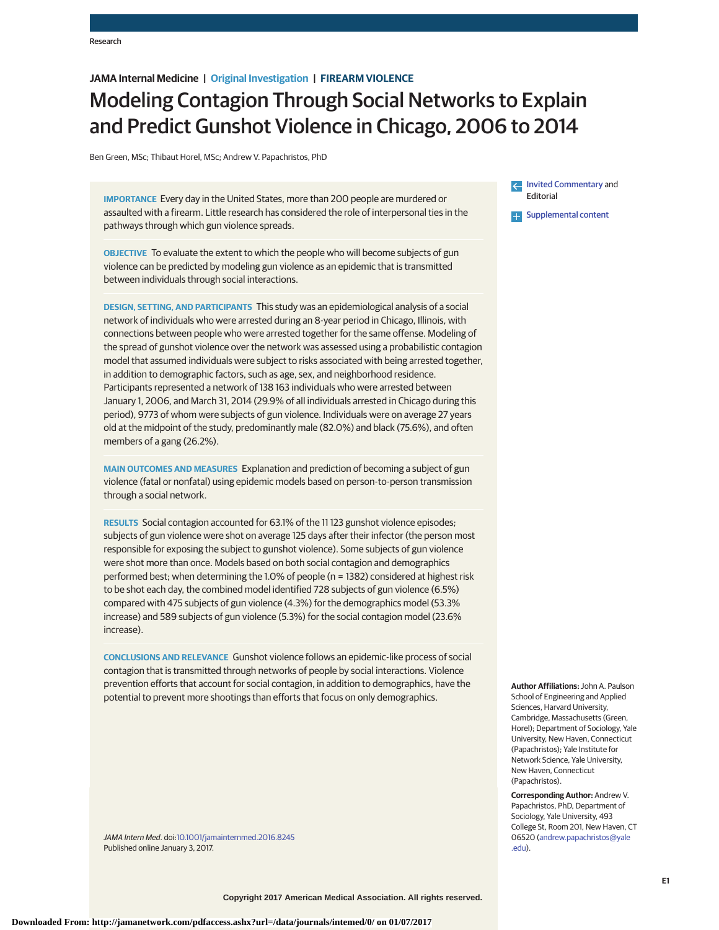# **JAMA Internal Medicine | Original Investigation | FIREARM VIOLENCE**

# Modeling Contagion Through Social Networks to Explain and Predict Gunshot Violence in Chicago, 2006 to 2014

Ben Green, MSc; Thibaut Horel, MSc; Andrew V. Papachristos, PhD

**IMPORTANCE** Every day in the United States, more than 200 people are murdered or assaulted with a firearm. Little research has considered the role of interpersonal ties in the pathways through which gun violence spreads.

**OBJECTIVE** To evaluate the extent to which the people who will become subjects of gun violence can be predicted by modeling gun violence as an epidemic that is transmitted between individuals through social interactions.

**DESIGN, SETTING, AND PARTICIPANTS** This study was an epidemiological analysis of a social network of individuals who were arrested during an 8-year period in Chicago, Illinois, with connections between people who were arrested together for the same offense. Modeling of the spread of gunshot violence over the network was assessed using a probabilistic contagion model that assumed individuals were subject to risks associated with being arrested together, in addition to demographic factors, such as age, sex, and neighborhood residence. Participants represented a network of 138 163 individuals who were arrested between January 1, 2006, and March 31, 2014 (29.9% of all individuals arrested in Chicago during this period), 9773 of whom were subjects of gun violence. Individuals were on average 27 years old at the midpoint of the study, predominantly male (82.0%) and black (75.6%), and often members of a gang (26.2%).

**MAIN OUTCOMES AND MEASURES** Explanation and prediction of becoming a subject of gun violence (fatal or nonfatal) using epidemic models based on person-to-person transmission through a social network.

**RESULTS** Social contagion accounted for 63.1% of the 11 123 gunshot violence episodes; subjects of gun violence were shot on average 125 days after their infector (the person most responsible for exposing the subject to gunshot violence). Some subjects of gun violence were shot more than once. Models based on both social contagion and demographics performed best; when determining the 1.0% of people (n = 1382) considered at highest risk to be shot each day, the combined model identified 728 subjects of gun violence (6.5%) compared with 475 subjects of gun violence (4.3%) for the demographics model (53.3% increase) and 589 subjects of gun violence (5.3%) for the social contagion model (23.6% increase).

**CONCLUSIONS AND RELEVANCE** Gunshot violence follows an epidemic-like process of social contagion that is transmitted through networks of people by social interactions. Violence prevention efforts that account for social contagion, in addition to demographics, have the potential to prevent more shootings than efforts that focus on only demographics.

JAMA Intern Med. doi[:10.1001/jamainternmed.2016.8245](http://jama.jamanetwork.com/article.aspx?doi=10.1001/jamainternmed.2016.8245&utm_campaign=articlePDF%26utm_medium=articlePDFlink%26utm_source=articlePDF%26utm_content=jamainternmed.2016.8245) Published online January 3, 2017.

[Invited Commentary](http://jama.jamanetwork.com/article.aspx?doi=10.1001/jamainternmed.2016.8273&utm_campaign=articlePDF%26utm_medium=articlePDFlink%26utm_source=articlePDF%26utm_content=jamainternmed.2016.8245) and Editorial

**Examplemental content** 

**Author Affiliations:** John A. Paulson School of Engineering and Applied Sciences, Harvard University, Cambridge, Massachusetts (Green, Horel); Department of Sociology, Yale University, New Haven, Connecticut (Papachristos); Yale Institute for Network Science, Yale University, New Haven, Connecticut (Papachristos).

**Corresponding Author:** Andrew V. Papachristos, PhD, Department of Sociology, Yale University, 493 College St, Room 201, New Haven, CT 06520 [\(andrew.papachristos@yale](mailto:andrew.papachristos@yale.edu) [.edu\)](mailto:andrew.papachristos@yale.edu).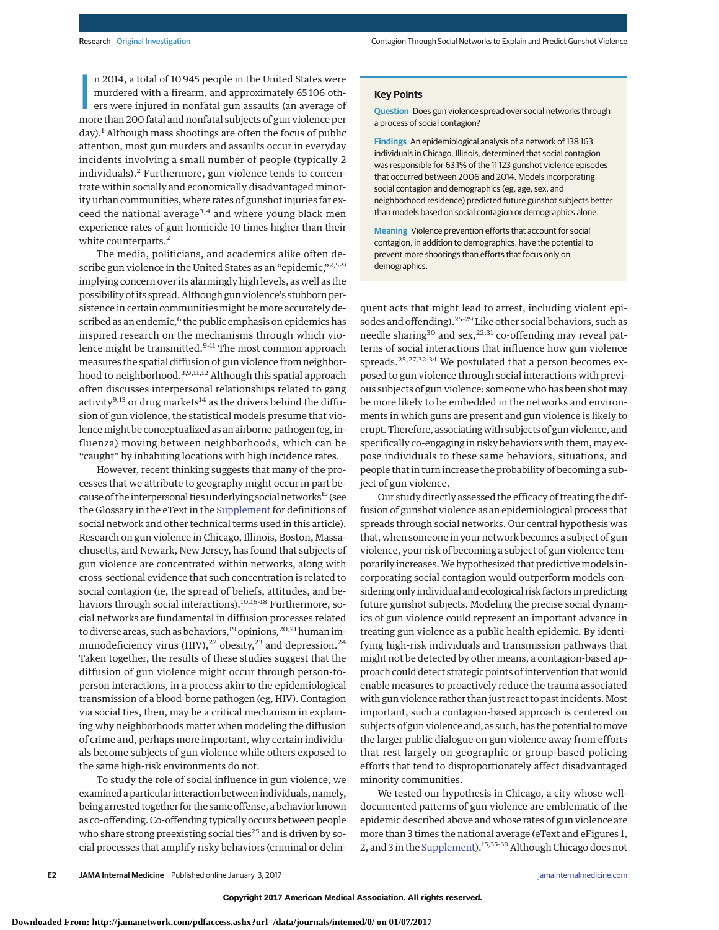n 2014, a total of 10 945 people in the United States were<br>murdered with a firearm, and approximately 65 106 oth-<br>ers were injured in nonfatal gun assaults (an average of<br>more than 200 fatal and nonfatal subjects of gun vi n 2014, a total of 10 945 people in the United States were murdered with a firearm, and approximately 65 106 others were injured in nonfatal gun assaults (an average of  $day)$ .<sup>1</sup> Although mass shootings are often the focus of public attention, most gun murders and assaults occur in everyday incidents involving a small number of people (typically 2 individuals).<sup>2</sup> Furthermore, gun violence tends to concentrate within socially and economically disadvantaged minority urban communities, where rates of gunshot injuries far exceed the national average<sup>3,4</sup> and where young black men experience rates of gun homicide 10 times higher than their white counterparts.<sup>2</sup>

The media, politicians, and academics alike often describe gun violence in the United States as an "epidemic,"2,5-9 implying concern over its alarmingly high levels, as well as the possibility of its spread. Although gun violence's stubborn persistence in certain communities might be more accurately described as an endemic,<sup>6</sup> the public emphasis on epidemics has inspired research on the mechanisms through which violence might be transmitted.<sup>9-11</sup> The most common approach measures the spatial diffusion of gun violence from neighborhood to neighborhood.<sup>3,9,11,12</sup> Although this spatial approach often discusses interpersonal relationships related to gang activity<sup>9,13</sup> or drug markets<sup>14</sup> as the drivers behind the diffusion of gun violence, the statistical models presume that violence might be conceptualized as an airborne pathogen (eg, influenza) moving between neighborhoods, which can be "caught" by inhabiting locations with high incidence rates.

However, recent thinking suggests that many of the processes that we attribute to geography might occur in part because of the interpersonal ties underlying social networks<sup>15</sup> (see the Glossary in the eText in the [Supplement](http://jama.jamanetwork.com/article.aspx?doi=10.1001/jamainternmed.2016.8245&utm_campaign=articlePDF%26utm_medium=articlePDFlink%26utm_source=articlePDF%26utm_content=jamainternmed.2016.8245) for definitions of social network and other technical terms used in this article). Research on gun violence in Chicago, Illinois, Boston, Massachusetts, and Newark, New Jersey, has found that subjects of gun violence are concentrated within networks, along with cross-sectional evidence that such concentration is related to social contagion (ie, the spread of beliefs, attitudes, and behaviors through social interactions).<sup>10,16-18</sup> Furthermore, social networks are fundamental in diffusion processes related to diverse areas, such as behaviors,<sup>19</sup> opinions,<sup>20,21</sup> human immunodeficiency virus (HIV),<sup>22</sup> obesity,<sup>23</sup> and depression.<sup>24</sup> Taken together, the results of these studies suggest that the diffusion of gun violence might occur through person-toperson interactions, in a process akin to the epidemiological transmission of a blood-borne pathogen (eg, HIV). Contagion via social ties, then, may be a critical mechanism in explaining why neighborhoods matter when modeling the diffusion of crime and, perhaps more important, why certain individuals become subjects of gun violence while others exposed to the same high-risk environments do not.

To study the role of social influence in gun violence, we examined a particular interaction between individuals, namely, being arrested together for the same offense, a behavior known as co-offending. Co-offending typically occurs between people who share strong preexisting social ties<sup>25</sup> and is driven by social processes that amplify risky behaviors (criminal or delin-

## **Key Points**

**Question** Does gun violence spread over social networks through a process of social contagion?

**Findings** An epidemiological analysis of a network of 138 163 individuals in Chicago, Illinois, determined that social contagion was responsible for 63.1% of the 11 123 gunshot violence episodes that occurred between 2006 and 2014. Models incorporating social contagion and demographics (eg, age, sex, and neighborhood residence) predicted future gunshot subjects better than models based on social contagion or demographics alone.

**Meaning** Violence prevention efforts that account for social contagion, in addition to demographics, have the potential to prevent more shootings than efforts that focus only on demographics.

quent acts that might lead to arrest, including violent episodes and offending).25-29 Like other social behaviors, such as needle sharing<sup>30</sup> and sex,<sup>22,31</sup> co-offending may reveal patterns of social interactions that influence how gun violence spreads.25,27,32-34 We postulated that a person becomes exposed to gun violence through social interactions with previous subjects of gun violence: someone who has been shot may be more likely to be embedded in the networks and environments in which guns are present and gun violence is likely to erupt. Therefore, associating with subjects of gun violence, and specifically co-engaging in risky behaviors with them, may expose individuals to these same behaviors, situations, and people that in turn increase the probability of becoming a subject of gun violence.

Our study directly assessed the efficacy of treating the diffusion of gunshot violence as an epidemiological process that spreads through social networks. Our central hypothesis was that, when someone in your network becomes a subject of gun violence, your risk of becoming a subject of gun violence temporarily increases. We hypothesized that predictive models incorporating social contagion would outperform models considering only individual and ecological risk factors in predicting future gunshot subjects. Modeling the precise social dynamics of gun violence could represent an important advance in treating gun violence as a public health epidemic. By identifying high-risk individuals and transmission pathways that might not be detected by other means, a contagion-based approach could detect strategic points of intervention that would enable measures to proactively reduce the trauma associated with gun violence rather than just react to past incidents. Most important, such a contagion-based approach is centered on subjects of gun violence and, as such, has the potential tomove the larger public dialogue on gun violence away from efforts that rest largely on geographic or group-based policing efforts that tend to disproportionately affect disadvantaged minority communities.

We tested our hypothesis in Chicago, a city whose welldocumented patterns of gun violence are emblematic of the epidemic described above and whose rates of gun violence are more than 3 times the national average (eText and eFigures 1, 2, and 3 in the [Supplement\)](http://jama.jamanetwork.com/article.aspx?doi=10.1001/jamainternmed.2016.8245&utm_campaign=articlePDF%26utm_medium=articlePDFlink%26utm_source=articlePDF%26utm_content=jamainternmed.2016.8245).15,35-39 Although Chicago does not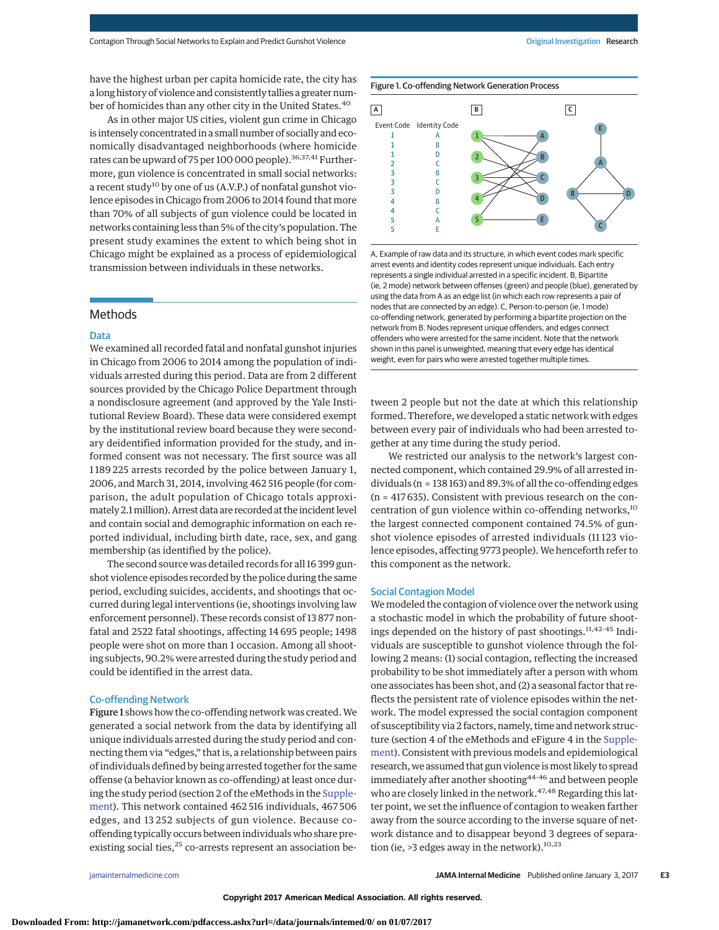have the highest urban per capita homicide rate, the city has a long history of violence and consistently tallies a greater number of homicides than any other city in the United States.<sup>40</sup>

As in other major US cities, violent gun crime in Chicago is intensely concentrated in a small number of socially and economically disadvantaged neighborhoods (where homicide rates can be upward of 75 per 100 000 people).<sup>36,37,41</sup> Furthermore, gun violence is concentrated in small social networks: a recent study<sup>10</sup> by one of us (A.V.P.) of nonfatal gunshot violence episodes in Chicago from 2006 to 2014 found that more than 70% of all subjects of gun violence could be located in networks containing less than 5% of the city's population. The present study examines the extent to which being shot in Chicago might be explained as a process of epidemiological transmission between individuals in these networks.

# Methods

## Data

We examined all recorded fatal and nonfatal gunshot injuries in Chicago from 2006 to 2014 among the population of individuals arrested during this period. Data are from 2 different sources provided by the Chicago Police Department through a nondisclosure agreement (and approved by the Yale Institutional Review Board). These data were considered exempt by the institutional review board because they were secondary deidentified information provided for the study, and informed consent was not necessary. The first source was all 1 189 225 arrests recorded by the police between January 1, 2006, and March 31, 2014, involving 462 516 people (for comparison, the adult population of Chicago totals approximately 2.1million). Arrest data are recorded at the incident level and contain social and demographic information on each reported individual, including birth date, race, sex, and gang membership (as identified by the police).

The second source was detailed records for all 16 399 gunshot violence episodes recorded by the police during the same period, excluding suicides, accidents, and shootings that occurred during legal interventions (ie, shootings involving law enforcement personnel). These records consist of 13 877 nonfatal and 2522 fatal shootings, affecting 14 695 people; 1498 people were shot on more than 1 occasion. Among all shooting subjects, 90.2% were arrested during the study period and could be identified in the arrest data.

## Co-offending Network

Figure 1 shows how the co-offending network was created.We generated a social network from the data by identifying all unique individuals arrested during the study period and connecting them via "edges," that is, a relationship between pairs of individuals defined by being arrested together for the same offense (a behavior known as co-offending) at least once during the study period (section 2 of the eMethods in the [Supple](http://jama.jamanetwork.com/article.aspx?doi=10.1001/jamainternmed.2016.8245&utm_campaign=articlePDF%26utm_medium=articlePDFlink%26utm_source=articlePDF%26utm_content=jamainternmed.2016.8245)[ment\)](http://jama.jamanetwork.com/article.aspx?doi=10.1001/jamainternmed.2016.8245&utm_campaign=articlePDF%26utm_medium=articlePDFlink%26utm_source=articlePDF%26utm_content=jamainternmed.2016.8245). This network contained 462 516 individuals, 467 506 edges, and 13 252 subjects of gun violence. Because cooffending typically occurs between individuals who share preexisting social ties,<sup>25</sup> co-arrests represent an association be-





A, Example of raw data and its structure, in which event codes mark specific arrest events and identity codes represent unique individuals. Each entry represents a single individual arrested in a specific incident. B, Bipartite (ie, 2 mode) network between offenses (green) and people (blue), generated by using the data from A as an edge list (in which each row represents a pair of nodes that are connected by an edge). C, Person-to-person (ie, 1 mode) co-offending network, generated by performing a bipartite projection on the network from B. Nodes represent unique offenders, and edges connect offenders who were arrested for the same incident. Note that the network shown in this panel is unweighted, meaning that every edge has identical weight, even for pairs who were arrested together multiple times.

tween 2 people but not the date at which this relationship formed. Therefore, we developed a static network with edges between every pair of individuals who had been arrested together at any time during the study period.

We restricted our analysis to the network's largest connected component, which contained 29.9% of all arrested individuals (n = 138 163) and 89.3% of all the co-offending edges (n = 417 635). Consistent with previous research on the concentration of gun violence within co-offending networks,<sup>10</sup> the largest connected component contained 74.5% of gunshot violence episodes of arrested individuals (11 123 violence episodes, affecting 9773 people). We henceforth refer to this component as the network.

## Social Contagion Model

We modeled the contagion of violence over the network using a stochastic model in which the probability of future shootings depended on the history of past shootings.<sup>11,42-45</sup> Individuals are susceptible to gunshot violence through the following 2 means: (1) social contagion, reflecting the increased probability to be shot immediately after a person with whom one associates has been shot, and (2) a seasonal factor that reflects the persistent rate of violence episodes within the network. The model expressed the social contagion component of susceptibility via 2 factors, namely, time and network structure (section 4 of the eMethods and eFigure 4 in the [Supple](http://jama.jamanetwork.com/article.aspx?doi=10.1001/jamainternmed.2016.8245&utm_campaign=articlePDF%26utm_medium=articlePDFlink%26utm_source=articlePDF%26utm_content=jamainternmed.2016.8245)[ment\)](http://jama.jamanetwork.com/article.aspx?doi=10.1001/jamainternmed.2016.8245&utm_campaign=articlePDF%26utm_medium=articlePDFlink%26utm_source=articlePDF%26utm_content=jamainternmed.2016.8245). Consistent with previous models and epidemiological research, we assumed that gun violence ismost likely to spread immediately after another shooting<sup>44-46</sup> and between people who are closely linked in the network.<sup>47,48</sup> Regarding this latter point, we set the influence of contagion to weaken farther away from the source according to the inverse square of network distance and to disappear beyond 3 degrees of separation (ie,  $>3$  edges away in the network).<sup>10,23</sup>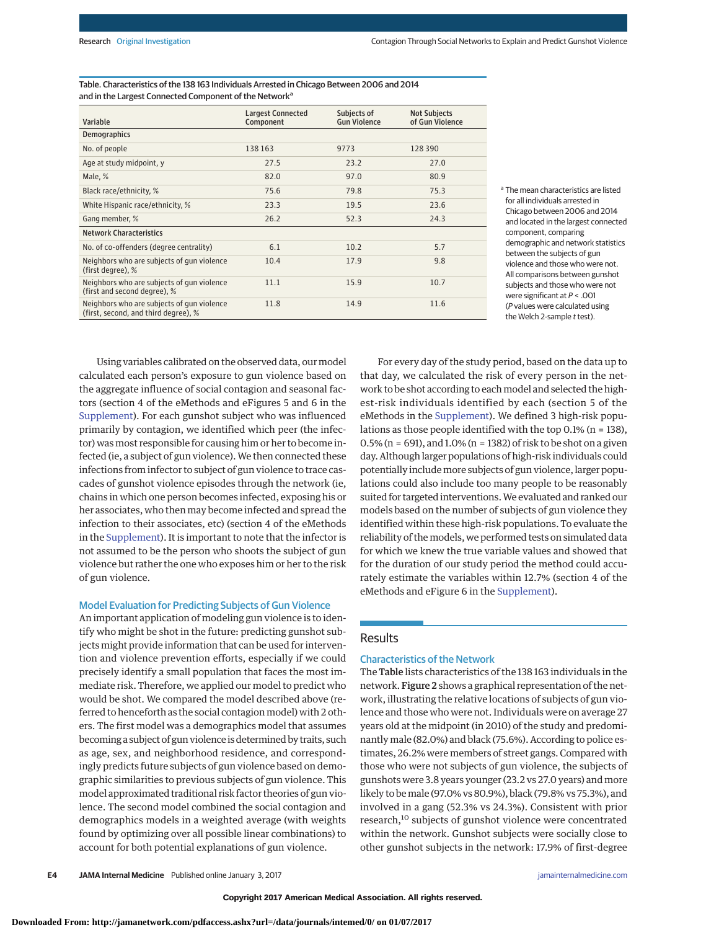Table. Characteristics of the 138 163 Individuals Arrested in Chicago Between 2006 and 2014 and in the Largest Connected Component of the Network<sup>a</sup>

| Variable                                                                           | <b>Largest Connected</b><br>Component | Subjects of<br><b>Gun Violence</b> | <b>Not Subjects</b><br>of Gun Violence |
|------------------------------------------------------------------------------------|---------------------------------------|------------------------------------|----------------------------------------|
| <b>Demographics</b>                                                                |                                       |                                    |                                        |
| No. of people                                                                      | 138 163                               | 9773                               | 128390                                 |
| Age at study midpoint, y                                                           | 27.5                                  | 23.2                               | 27.0                                   |
| Male, %                                                                            | 82.0                                  | 97.0                               | 80.9                                   |
| Black race/ethnicity, %                                                            | 75.6                                  | 79.8                               | 75.3                                   |
| White Hispanic race/ethnicity, %                                                   | 23.3                                  | 19.5                               | 23.6                                   |
| Gang member, %                                                                     | 26.2                                  | 52.3                               | 24.3                                   |
| <b>Network Characteristics</b>                                                     |                                       |                                    |                                        |
| No. of co-offenders (degree centrality)                                            | 6.1                                   | 10.2                               | 5.7                                    |
| Neighbors who are subjects of gun violence<br>(first degree). %                    | 10.4                                  | 17.9                               | 9.8                                    |
| Neighbors who are subjects of gun violence<br>(first and second degree), %         | 11.1                                  | 15.9                               | 10.7                                   |
| Neighbors who are subjects of gun violence<br>(first, second, and third degree), % | 11.8                                  | 14.9                               | 11.6                                   |

<sup>a</sup> The mean characteristics are listed for all individuals arrested in Chicago between 2006 and 2014 and located in the largest connected component, comparing demographic and network statistics between the subjects of gun violence and those who were not. All comparisons between gunshot subjects and those who were not were significant at  $P < .001$ (P values were calculated using the Welch 2-sample  $t$  test).

Using variables calibrated on the observed data, our model calculated each person's exposure to gun violence based on the aggregate influence of social contagion and seasonal factors (section 4 of the eMethods and eFigures 5 and 6 in the [Supplement\)](http://jama.jamanetwork.com/article.aspx?doi=10.1001/jamainternmed.2016.8245&utm_campaign=articlePDF%26utm_medium=articlePDFlink%26utm_source=articlePDF%26utm_content=jamainternmed.2016.8245). For each gunshot subject who was influenced primarily by contagion, we identified which peer (the infector) was most responsible for causing him or her to become infected (ie, a subject of gun violence). We then connected these infections from infector to subject of gun violence to trace cascades of gunshot violence episodes through the network (ie, chains in which one person becomes infected, exposing his or her associates, who then may become infected and spread the infection to their associates, etc) (section 4 of the eMethods in the [Supplement\)](http://jama.jamanetwork.com/article.aspx?doi=10.1001/jamainternmed.2016.8245&utm_campaign=articlePDF%26utm_medium=articlePDFlink%26utm_source=articlePDF%26utm_content=jamainternmed.2016.8245). It is important to note that the infector is not assumed to be the person who shoots the subject of gun violence but rather the one who exposes him or her to the risk of gun violence.

# Model Evaluation for Predicting Subjects of Gun Violence

An important application of modeling gun violence is to identify who might be shot in the future: predicting gunshot subjects might provide information that can be used for intervention and violence prevention efforts, especially if we could precisely identify a small population that faces the most immediate risk. Therefore, we applied our model to predict who would be shot. We compared the model described above (referred to henceforth as the social contagion model) with 2 others. The first model was a demographics model that assumes becoming a subject of gun violence is determined by traits, such as age, sex, and neighborhood residence, and correspondingly predicts future subjects of gun violence based on demographic similarities to previous subjects of gun violence. This model approximated traditional risk factor theories of gun violence. The second model combined the social contagion and demographics models in a weighted average (with weights found by optimizing over all possible linear combinations) to account for both potential explanations of gun violence.

For every day of the study period, based on the data up to that day, we calculated the risk of every person in the network to be shot according to eachmodel and selected the highest-risk individuals identified by each (section 5 of the eMethods in the [Supplement\)](http://jama.jamanetwork.com/article.aspx?doi=10.1001/jamainternmed.2016.8245&utm_campaign=articlePDF%26utm_medium=articlePDFlink%26utm_source=articlePDF%26utm_content=jamainternmed.2016.8245). We defined 3 high-risk populations as those people identified with the top 0.1% (n = 138), 0.5% (n = 691), and 1.0% (n = 1382) of risk to be shot on a given day. Although larger populations of high-risk individuals could potentially include more subjects of gun violence, larger populations could also include too many people to be reasonably suited for targeted interventions.We evaluated and ranked our models based on the number of subjects of gun violence they identified within these high-risk populations. To evaluate the reliability of themodels, we performed tests on simulated data for which we knew the true variable values and showed that for the duration of our study period the method could accurately estimate the variables within 12.7% (section 4 of the eMethods and eFigure 6 in the [Supplement\)](http://jama.jamanetwork.com/article.aspx?doi=10.1001/jamainternmed.2016.8245&utm_campaign=articlePDF%26utm_medium=articlePDFlink%26utm_source=articlePDF%26utm_content=jamainternmed.2016.8245).

## Results

#### Characteristics of the Network

The Table lists characteristics of the 138 163 individuals in the network. Figure 2 shows a graphical representation of the network, illustrating the relative locations of subjects of gun violence and those who were not. Individuals were on average 27 years old at the midpoint (in 2010) of the study and predominantly male (82.0%) and black (75.6%). According to police estimates, 26.2% were members of street gangs. Compared with those who were not subjects of gun violence, the subjects of gunshots were 3.8 years younger (23.2 vs 27.0 years) and more likely to bemale (97.0% vs 80.9%), black (79.8% vs 75.3%), and involved in a gang (52.3% vs 24.3%). Consistent with prior research,<sup>10</sup> subjects of gunshot violence were concentrated within the network. Gunshot subjects were socially close to other gunshot subjects in the network: 17.9% of first-degree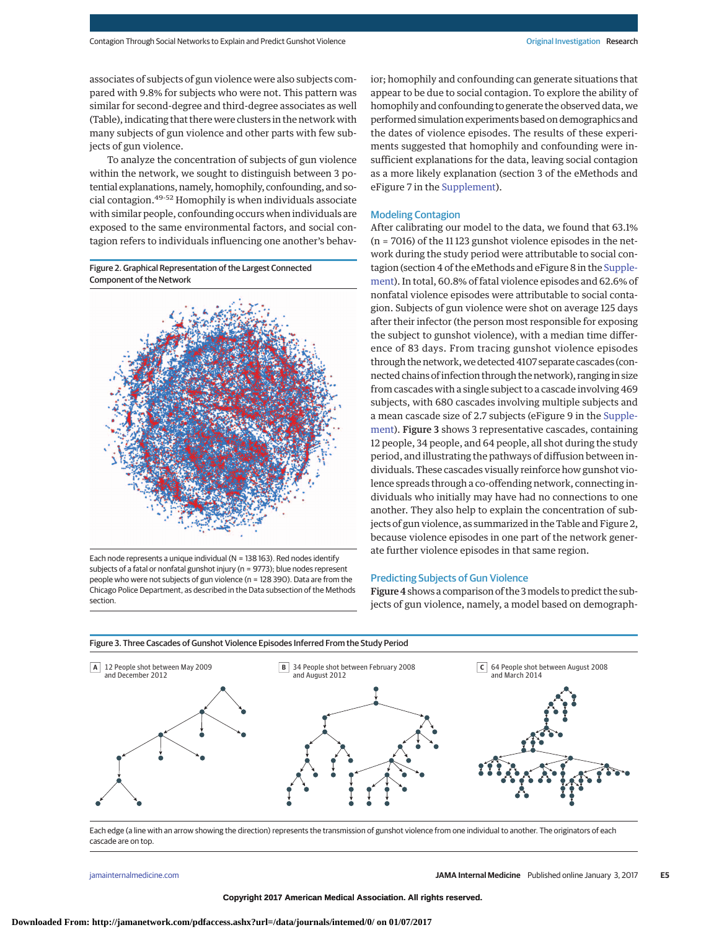associates of subjects of gun violence were also subjects compared with 9.8% for subjects who were not. This pattern was similar for second-degree and third-degree associates as well (Table), indicating that there were clusters in the network with many subjects of gun violence and other parts with few subjects of gun violence.

To analyze the concentration of subjects of gun violence within the network, we sought to distinguish between 3 potential explanations, namely, homophily, confounding, and social contagion.49-52 Homophily is when individuals associate with similar people, confounding occurs when individuals are exposed to the same environmental factors, and social contagion refers to individuals influencing one another's behav-





Each node represents a unique individual (N = 138 163). Red nodes identify subjects of a fatal or nonfatal gunshot injury (n = 9773); blue nodes represent people who were not subjects of gun violence (n = 128 390). Data are from the Chicago Police Department, as described in the Data subsection of the Methods section.

ior; homophily and confounding can generate situations that appear to be due to social contagion. To explore the ability of homophily and confounding to generate the observed data, we performed simulation experiments based on demographics and the dates of violence episodes. The results of these experiments suggested that homophily and confounding were insufficient explanations for the data, leaving social contagion as a more likely explanation (section 3 of the eMethods and eFigure 7 in the [Supplement\)](http://jama.jamanetwork.com/article.aspx?doi=10.1001/jamainternmed.2016.8245&utm_campaign=articlePDF%26utm_medium=articlePDFlink%26utm_source=articlePDF%26utm_content=jamainternmed.2016.8245).

## Modeling Contagion

After calibrating our model to the data, we found that 63.1% (n = 7016) of the 11 123 gunshot violence episodes in the network during the study period were attributable to social contagion (section 4 of the eMethods and eFigure 8 in the [Supple](http://jama.jamanetwork.com/article.aspx?doi=10.1001/jamainternmed.2016.8245&utm_campaign=articlePDF%26utm_medium=articlePDFlink%26utm_source=articlePDF%26utm_content=jamainternmed.2016.8245)[ment\)](http://jama.jamanetwork.com/article.aspx?doi=10.1001/jamainternmed.2016.8245&utm_campaign=articlePDF%26utm_medium=articlePDFlink%26utm_source=articlePDF%26utm_content=jamainternmed.2016.8245). In total, 60.8% of fatal violence episodes and 62.6% of nonfatal violence episodes were attributable to social contagion. Subjects of gun violence were shot on average 125 days after their infector (the person most responsible for exposing the subject to gunshot violence), with a median time difference of 83 days. From tracing gunshot violence episodes through the network, we detected 4107 separate cascades (connected chains of infection through the network), ranging in size from cascades with a single subject to a cascade involving 469 subjects, with 680 cascades involving multiple subjects and a mean cascade size of 2.7 subjects (eFigure 9 in the [Supple](http://jama.jamanetwork.com/article.aspx?doi=10.1001/jamainternmed.2016.8245&utm_campaign=articlePDF%26utm_medium=articlePDFlink%26utm_source=articlePDF%26utm_content=jamainternmed.2016.8245)[ment\)](http://jama.jamanetwork.com/article.aspx?doi=10.1001/jamainternmed.2016.8245&utm_campaign=articlePDF%26utm_medium=articlePDFlink%26utm_source=articlePDF%26utm_content=jamainternmed.2016.8245). Figure 3 shows 3 representative cascades, containing 12 people, 34 people, and 64 people, all shot during the study period, and illustrating the pathways of diffusion between individuals. These cascades visually reinforce how gunshot violence spreads through a co-offending network, connecting individuals who initially may have had no connections to one another. They also help to explain the concentration of subjects of gun violence, as summarized in the Table and Figure 2, because violence episodes in one part of the network generate further violence episodes in that same region.

## Predicting Subjects of Gun Violence

Figure 4shows a comparison of the 3models to predict the subjects of gun violence, namely, a model based on demograph-



Each edge (a line with an arrow showing the direction) represents the transmission of gunshot violence from one individual to another. The originators of each cascade are on top.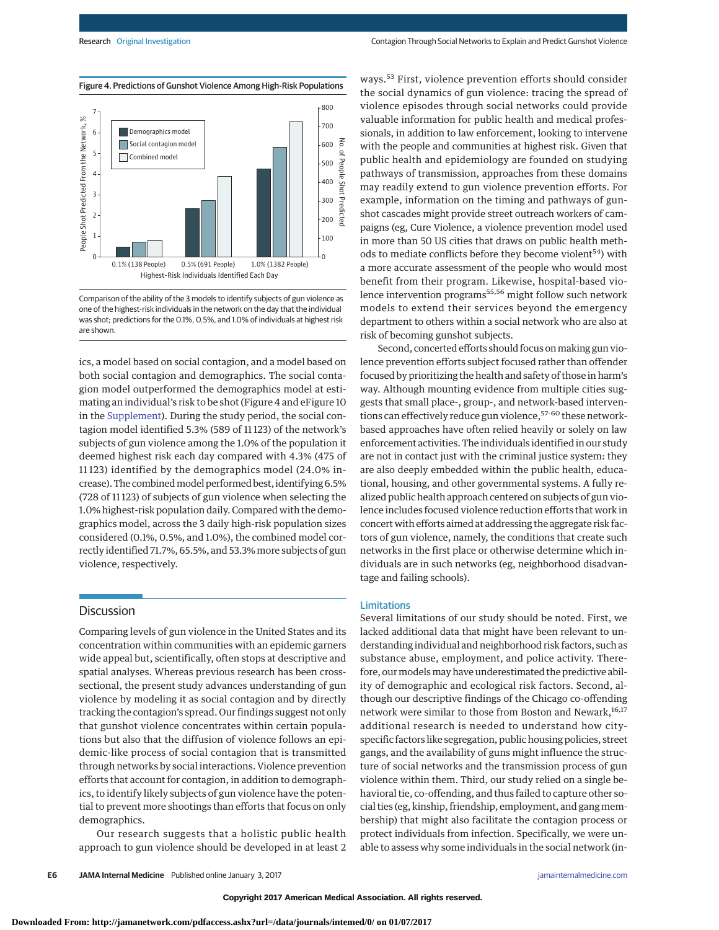



Comparison of the ability of the 3 models to identify subjects of gun violence as one of the highest-risk individuals in the network on the day that the individual was shot; predictions for the 0.1%, 0.5%, and 1.0% of individuals at highest risk are shown.

ics, a model based on social contagion, and a model based on both social contagion and demographics. The social contagion model outperformed the demographics model at estimating an individual's risk to be shot (Figure 4 and eFigure 10 in the [Supplement\)](http://jama.jamanetwork.com/article.aspx?doi=10.1001/jamainternmed.2016.8245&utm_campaign=articlePDF%26utm_medium=articlePDFlink%26utm_source=articlePDF%26utm_content=jamainternmed.2016.8245). During the study period, the social contagion model identified 5.3% (589 of 11 123) of the network's subjects of gun violence among the 1.0% of the population it deemed highest risk each day compared with 4.3% (475 of 11 123) identified by the demographics model (24.0% increase). The combined model performed best, identifying 6.5% (728 of 11 123) of subjects of gun violence when selecting the 1.0% highest-risk population daily. Compared with the demographics model, across the 3 daily high-risk population sizes considered (0.1%, 0.5%, and 1.0%), the combined model correctly identified 71.7%, 65.5%, and 53.3% more subjects of gun violence, respectively.

# **Discussion**

Comparing levels of gun violence in the United States and its concentration within communities with an epidemic garners wide appeal but, scientifically, often stops at descriptive and spatial analyses. Whereas previous research has been crosssectional, the present study advances understanding of gun violence by modeling it as social contagion and by directly tracking the contagion's spread. Our findings suggest not only that gunshot violence concentrates within certain populations but also that the diffusion of violence follows an epidemic-like process of social contagion that is transmitted through networks by social interactions. Violence prevention efforts that account for contagion, in addition to demographics, to identify likely subjects of gun violence have the potential to prevent more shootings than efforts that focus on only demographics.

Our research suggests that a holistic public health approach to gun violence should be developed in at least 2 ways.<sup>53</sup> First, violence prevention efforts should consider the social dynamics of gun violence: tracing the spread of violence episodes through social networks could provide valuable information for public health and medical professionals, in addition to law enforcement, looking to intervene with the people and communities at highest risk. Given that public health and epidemiology are founded on studying pathways of transmission, approaches from these domains may readily extend to gun violence prevention efforts. For example, information on the timing and pathways of gunshot cascades might provide street outreach workers of campaigns (eg, Cure Violence, a violence prevention model used in more than 50 US cities that draws on public health methods to mediate conflicts before they become violent<sup>54</sup>) with a more accurate assessment of the people who would most benefit from their program. Likewise, hospital-based violence intervention programs<sup>55,56</sup> might follow such network models to extend their services beyond the emergency department to others within a social network who are also at risk of becoming gunshot subjects.

Second, concerted efforts should focus on making gun violence prevention efforts subject focused rather than offender focused by prioritizing the health and safety of those in harm's way. Although mounting evidence from multiple cities suggests that small place-, group-, and network-based interventions can effectively reduce gun violence,<sup>57-60</sup> these networkbased approaches have often relied heavily or solely on law enforcement activities. The individuals identified in our study are not in contact just with the criminal justice system: they are also deeply embedded within the public health, educational, housing, and other governmental systems. A fully realized public health approach centered on subjects of gun violence includes focused violence reduction efforts that work in concert with efforts aimed at addressing the aggregate risk factors of gun violence, namely, the conditions that create such networks in the first place or otherwise determine which individuals are in such networks (eg, neighborhood disadvantage and failing schools).

# Limitations

Several limitations of our study should be noted. First, we lacked additional data that might have been relevant to understanding individual and neighborhood risk factors, such as substance abuse, employment, and police activity. Therefore, our models may have underestimated the predictive ability of demographic and ecological risk factors. Second, although our descriptive findings of the Chicago co-offending network were similar to those from Boston and Newark,<sup>16,17</sup> additional research is needed to understand how cityspecific factors like segregation, public housing policies, street gangs, and the availability of guns might influence the structure of social networks and the transmission process of gun violence within them. Third, our study relied on a single behavioral tie, co-offending, and thus failed to capture other social ties (eg, kinship, friendship, employment, and gang membership) that might also facilitate the contagion process or protect individuals from infection. Specifically, we were unable to assess why some individuals in the social network (in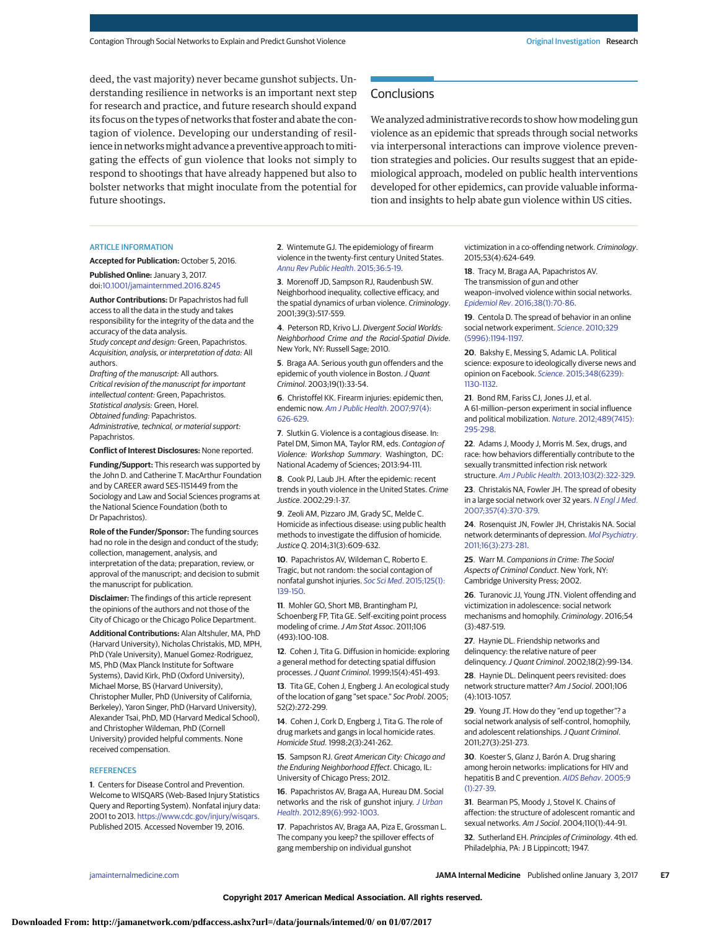deed, the vast majority) never became gunshot subjects. Understanding resilience in networks is an important next step for research and practice, and future research should expand its focus on the types of networks that foster and abate the contagion of violence. Developing our understanding of resilience in networks might advance a preventive approach to mitigating the effects of gun violence that looks not simply to respond to shootings that have already happened but also to bolster networks that might inoculate from the potential for future shootings.

# **Conclusions**

We analyzed administrative records to show how modeling gun violence as an epidemic that spreads through social networks via interpersonal interactions can improve violence prevention strategies and policies. Our results suggest that an epidemiological approach, modeled on public health interventions developed for other epidemics, can provide valuable information and insights to help abate gun violence within US cities.

#### ARTICLE INFORMATION

**Accepted for Publication:** October 5, 2016.

**Published Online:** January 3, 2017. doi[:10.1001/jamainternmed.2016.8245](http://jama.jamanetwork.com/article.aspx?doi=10.1001/jamainternmed.2016.8245&utm_campaign=articlePDF%26utm_medium=articlePDFlink%26utm_source=articlePDF%26utm_content=jamainternmed.2016.8245)

**Author Contributions:** Dr Papachristos had full access to all the data in the study and takes responsibility for the integrity of the data and the accuracy of the data analysis.

Study concept and design: Green, Papachristos. Acquisition, analysis, or interpretation of data: All authors.

Drafting of the manuscript: All authors. Critical revision of the manuscript for important intellectual content: Green, Papachristos. Statistical analysis: Green, Horel. Obtained funding: Papachristos. Administrative, technical, or material support: Papachristos.

**Conflict of Interest Disclosures:** None reported.

**Funding/Support:** This research was supported by the John D. and Catherine T. MacArthur Foundation and by CAREER award SES-1151449 from the Sociology and Law and Social Sciences programs at the National Science Foundation (both to Dr Papachristos).

**Role of the Funder/Sponsor:** The funding sources had no role in the design and conduct of the study; collection, management, analysis, and interpretation of the data; preparation, review, or approval of the manuscript; and decision to submit the manuscript for publication.

**Disclaimer:** The findings of this article represent the opinions of the authors and not those of the City of Chicago or the Chicago Police Department.

**Additional Contributions:** Alan Altshuler, MA, PhD (Harvard University), Nicholas Christakis, MD, MPH, PhD (Yale University), Manuel Gomez-Rodriguez, MS, PhD (Max Planck Institute for Software Systems), David Kirk, PhD (Oxford University), Michael Morse, BS (Harvard University), Christopher Muller, PhD (University of California, Berkeley), Yaron Singer, PhD (Harvard University), Alexander Tsai, PhD, MD (Harvard Medical School), and Christopher Wildeman, PhD (Cornell University) provided helpful comments. None received compensation.

#### **REFERENCES**

**1**. Centers for Disease Control and Prevention. Welcome to WISQARS (Web-Based Injury Statistics Query and Reporting System). Nonfatal injury data: 2001 to 2013. [https://www.cdc.gov/injury/wisqars.](https://www.cdc.gov/injury/wisqars) Published 2015. Accessed November 19, 2016.

**2**. Wintemute GJ. The epidemiology of firearm violence in the twenty-first century United States. [Annu Rev Public Health](https://www.ncbi.nlm.nih.gov/pubmed/25533263). 2015;36:5-19.

**3**. Morenoff JD, Sampson RJ, Raudenbush SW. Neighborhood inequality, collective efficacy, and the spatial dynamics of urban violence. Criminology. 2001;39(3):517-559.

**4**. Peterson RD, Krivo LJ. Divergent Social Worlds: Neighborhood Crime and the Racial-Spatial Divide. New York, NY: Russell Sage; 2010.

**5**. Braga AA. Serious youth gun offenders and the epidemic of youth violence in Boston. J Quant Criminol. 2003;19(1):33-54.

**6**. Christoffel KK. Firearm injuries: epidemic then, endemic now. [Am J Public Health](https://www.ncbi.nlm.nih.gov/pubmed/17329653). 2007;97(4): [626-629.](https://www.ncbi.nlm.nih.gov/pubmed/17329653)

**7**. Slutkin G. Violence is a contagious disease. In: Patel DM, Simon MA, Taylor RM, eds. Contagion of Violence: Workshop Summary. Washington, DC: National Academy of Sciences; 2013:94-111.

**8**. Cook PJ, Laub JH. After the epidemic: recent trends in youth violence in the United States. Crime Justice. 2002;29:1-37.

**9**. Zeoli AM, Pizzaro JM, Grady SC, Melde C. Homicide as infectious disease: using public health methods to investigate the diffusion of homicide. Justice Q. 2014;31(3):609-632.

**10**. Papachristos AV, Wildeman C, Roberto E. Tragic, but not random: the social contagion of nonfatal gunshot injuries. Soc Sci Med[. 2015;125\(1\):](https://www.ncbi.nlm.nih.gov/pubmed/24560101) [139-150.](https://www.ncbi.nlm.nih.gov/pubmed/24560101)

**11**. Mohler GO, Short MB, Brantingham PJ, Schoenberg FP, Tita GE. Self-exciting point process modeling of crime. J Am Stat Assoc. 2011;106 (493):100-108.

**12**. Cohen J, Tita G. Diffusion in homicide: exploring a general method for detecting spatial diffusion processes.J Quant Criminol. 1999;15(4):451-493.

**13**. Tita GE, Cohen J, Engberg J. An ecological study of the location of gang "set space." Soc Probl. 2005; 52(2):272-299.

**14**. Cohen J, Cork D, Engberg J, Tita G. The role of drug markets and gangs in local homicide rates. Homicide Stud. 1998;2(3):241-262.

**15**. Sampson RJ. Great American City: Chicago and the Enduring Neighborhood Effect. Chicago, IL: University of Chicago Press; 2012.

**16**. Papachristos AV, Braga AA, Hureau DM. Social networks and the risk of gunshot injury. [J Urban](https://www.ncbi.nlm.nih.gov/pubmed/22714704) Health[. 2012;89\(6\):992-1003.](https://www.ncbi.nlm.nih.gov/pubmed/22714704)

**17**. Papachristos AV, Braga AA, Piza E, Grossman L. The company you keep? the spillover effects of gang membership on individual gunshot

victimization in a co-offending network. Criminology. 2015;53(4):624-649.

**18**. Tracy M, Braga AA, Papachristos AV. The transmission of gun and other weapon–involved violence within social networks. Epidemiol Rev[. 2016;38\(1\):70-86.](https://www.ncbi.nlm.nih.gov/pubmed/26733492)

**19**. Centola D. The spread of behavior in an online social network experiment. Science[. 2010;329](https://www.ncbi.nlm.nih.gov/pubmed/20813952) [\(5996\):1194-1197.](https://www.ncbi.nlm.nih.gov/pubmed/20813952)

**20**. Bakshy E, Messing S, Adamic LA. Political science: exposure to ideologically diverse news and opinion on Facebook. Science[. 2015;348\(6239\):](https://www.ncbi.nlm.nih.gov/pubmed/25953820) [1130-1132.](https://www.ncbi.nlm.nih.gov/pubmed/25953820)

**21**. Bond RM, Fariss CJ, Jones JJ, et al. A 61-million–person experiment in social influence and political mobilization. Nature[. 2012;489\(7415\):](https://www.ncbi.nlm.nih.gov/pubmed/22972300) [295-298.](https://www.ncbi.nlm.nih.gov/pubmed/22972300)

**22**. Adams J, Moody J, Morris M. Sex, drugs, and race: how behaviors differentially contribute to the sexually transmitted infection risk network structure. Am J Public Health[. 2013;103\(2\):322-329.](https://www.ncbi.nlm.nih.gov/pubmed/23237162)

**23**. Christakis NA, Fowler JH. The spread of obesity in a large social network over 32 years. [N Engl J Med](https://www.ncbi.nlm.nih.gov/pubmed/17652652). [2007;357\(4\):370-379.](https://www.ncbi.nlm.nih.gov/pubmed/17652652)

**24**. Rosenquist JN, Fowler JH, Christakis NA. Social network determinants of depression. [Mol Psychiatry](https://www.ncbi.nlm.nih.gov/pubmed/20231839). [2011;16\(3\):273-281.](https://www.ncbi.nlm.nih.gov/pubmed/20231839)

**25**. Warr M. Companions in Crime: The Social Aspects of Criminal Conduct. New York, NY: Cambridge University Press; 2002.

**26**. Turanovic JJ, Young JTN. Violent offending and victimization in adolescence: social network mechanisms and homophily. Criminology. 2016;54 (3):487-519.

**27**. Haynie DL. Friendship networks and delinquency: the relative nature of peer delinquency.J Quant Criminol. 2002;18(2):99-134.

**28**. Haynie DL. Delinquent peers revisited: does network structure matter? Am J Sociol. 2001;106 (4):1013-1057.

**29**. Young JT. How do they "end up together"? a social network analysis of self-control, homophily, and adolescent relationships. J Quant Criminol. 2011;27(3):251-273.

**30**. Koester S, Glanz J, Barón A. Drug sharing among heroin networks: implications for HIV and hepatitis B and C prevention. [AIDS Behav](https://www.ncbi.nlm.nih.gov/pubmed/15812611). 2005;9 [\(1\):27-39.](https://www.ncbi.nlm.nih.gov/pubmed/15812611)

**31**. Bearman PS, Moody J, Stovel K. Chains of affection: the structure of adolescent romantic and sexual networks. Am J Sociol. 2004;110(1):44-91.

**32**. Sutherland EH. Principles of Criminology. 4th ed. Philadelphia, PA: J B Lippincott; 1947.